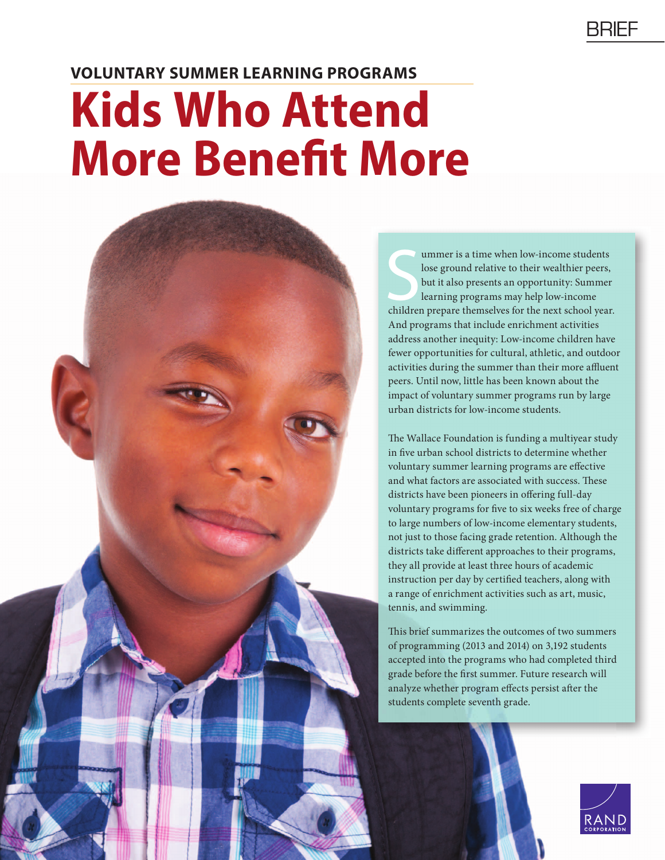# **VOLUNTARY SUMMER LEARNING PROGRAMS Kids Who Attend [More Benefit More](http://www.rand.org/pubs/research_briefs/RB9924.html)**

ummer is a time when low-income students<br>lose ground relative to their wealthier peers,<br>but it also presents an opportunity: Summer<br>learning programs may help low-income<br>children prepare themselves for the next school year ummer is a time when low-income students lose ground relative to their wealthier peers, but it also presents an opportunity: Summer learning programs may help low-income And programs that include enrichment activities address another inequity: Low-income children have fewer opportunities for cultural, athletic, and outdoor activities during the summer than their more affluent peers. Until now, little has been known about the impact of voluntary summer programs run by large urban districts for low-income students.

The Wallace Foundation is funding a multiyear study in five urban school districts to determine whether voluntary summer learning programs are effective and what factors are associated with success. These districts have been pioneers in offering full-day voluntary programs for five to six weeks free of charge to large numbers of low-income elementary students, not just to those facing grade retention. Although the districts take different approaches to their programs, they all provide at least three hours of academic instruction per day by certified teachers, along with a range of enrichment activities such as art, music, tennis, and swimming.

This brief summarizes the outcomes of two summers of programming (2013 and 2014) on 3,192 students accepted into the programs who had completed third grade before the first summer. Future research will analyze whether program effects persist after the students complete seventh grade.

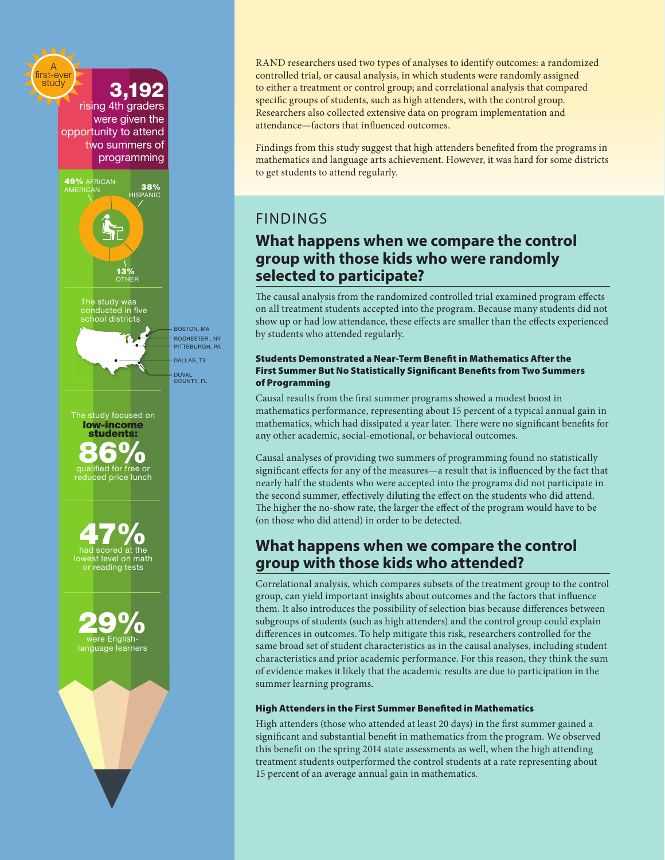

RAND researchers used two types of analyses to identify outcomes: a randomized controlled trial, or causal analysis, in which students were randomly assigned to either a treatment or control group; and correlational analysis that compared specific groups of students, such as high attenders, with the control group. Researchers also collected extensive data on program implementation and attendance—factors that influenced outcomes.

Findings from this study suggest that high attenders benefited from the programs in mathematics and language arts achievement. However, it was hard for some districts to get students to attend regularly.

## FINDINGS

# **What happens when we compare the control group with those kids who were randomly selected to participate?**

The causal analysis from the randomized controlled trial examined program effects on all treatment students accepted into the program. Because many students did not show up or had low attendance, these effects are smaller than the effects experienced by students who attended regularly.

#### Students Demonstrated a Near-Term Benefit in Mathematics After the First Summer But No Statistically Significant Benefits from Two Summers of Programming

Causal results from the first summer programs showed a modest boost in mathematics performance, representing about 15 percent of a typical annual gain in mathematics, which had dissipated a year later. There were no significant benefits for any other academic, social-emotional, or behavioral outcomes.

Causal analyses of providing two summers of programming found no statistically significant effects for any of the measures—a result that is influenced by the fact that nearly half the students who were accepted into the programs did not participate in the second summer, effectively diluting the effect on the students who did attend. The higher the no-show rate, the larger the effect of the program would have to be (on those who did attend) in order to be detected.

## **What happens when we compare the control group with those kids who attended?**

Correlational analysis, which compares subsets of the treatment group to the control group, can yield important insights about outcomes and the factors that influence them. It also introduces the possibility of selection bias because differences between subgroups of students (such as high attenders) and the control group could explain differences in outcomes. To help mitigate this risk, researchers controlled for the same broad set of student characteristics as in the causal analyses, including student characteristics and prior academic performance. For this reason, they think the sum of evidence makes it likely that the academic results are due to participation in the summer learning programs.

#### High Attenders in the First Summer Benefited in Mathematics

High attenders (those who attended at least 20 days) in the first summer gained a significant and substantial benefit in mathematics from the program. We observed this benefit on the spring 2014 state assessments as well, when the high attending treatment students outperformed the control students at a rate representing about 15 percent of an average annual gain in mathematics.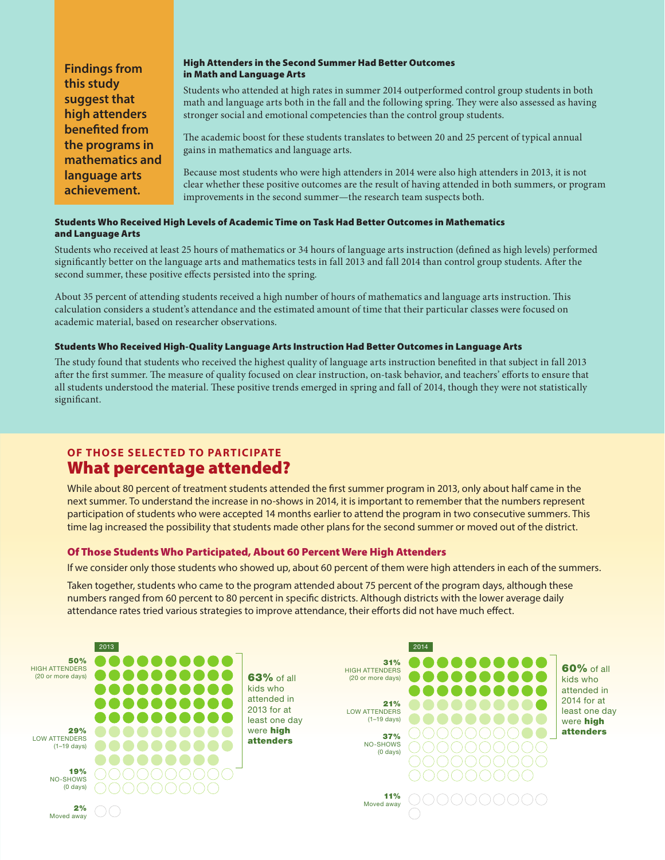**Findings from this study suggest that high attenders benefited from the programs in mathematics and language arts achievement.** 

#### High Attenders in the Second Summer Had Better Outcomes in Math and Language Arts

Students who attended at high rates in summer 2014 outperformed control group students in both math and language arts both in the fall and the following spring. They were also assessed as having stronger social and emotional competencies than the control group students.

The academic boost for these students translates to between 20 and 25 percent of typical annual gains in mathematics and language arts.

Because most students who were high attenders in 2014 were also high attenders in 2013, it is not clear whether these positive outcomes are the result of having attended in both summers, or program improvements in the second summer—the research team suspects both.

#### Students Who Received High Levels of Academic Time on Task Had Better Outcomes in Mathematics and Language Arts

Students who received at least 25 hours of mathematics or 34 hours of language arts instruction (defined as high levels) performed significantly better on the language arts and mathematics tests in fall 2013 and fall 2014 than control group students. After the second summer, these positive effects persisted into the spring.

About 35 percent of attending students received a high number of hours of mathematics and language arts instruction. This calculation considers a student's attendance and the estimated amount of time that their particular classes were focused on academic material, based on researcher observations.

#### Students Who Received High-Quality Language Arts Instruction Had Better Outcomes in Language Arts

The study found that students who received the highest quality of language arts instruction benefited in that subject in fall 2013 after the first summer. The measure of quality focused on clear instruction, on-task behavior, and teachers' efforts to ensure that all students understood the material. These positive trends emerged in spring and fall of 2014, though they were not statistically significant.

### **OF THOSE SELECTED TO PARTICIPATE**  What percentage attended?

While about 80 percent of treatment students attended the first summer program in 2013, only about half came in the next summer. To understand the increase in no-shows in 2014, it is important to remember that the numbers represent participation of students who were accepted 14 months earlier to attend the program in two consecutive summers. This time lag increased the possibility that students made other plans for the second summer or moved out of the district.

#### Of Those Students Who Participated, About 60 Percent Were High Attenders

If we consider only those students who showed up, about 60 percent of them were high attenders in each of the summers.

Taken together, students who came to the program attended about 75 percent of the program days, although these numbers ranged from 60 percent to 80 percent in specific districts. Although districts with the lower average daily attendance rates tried various strategies to improve attendance, their efforts did not have much effect.